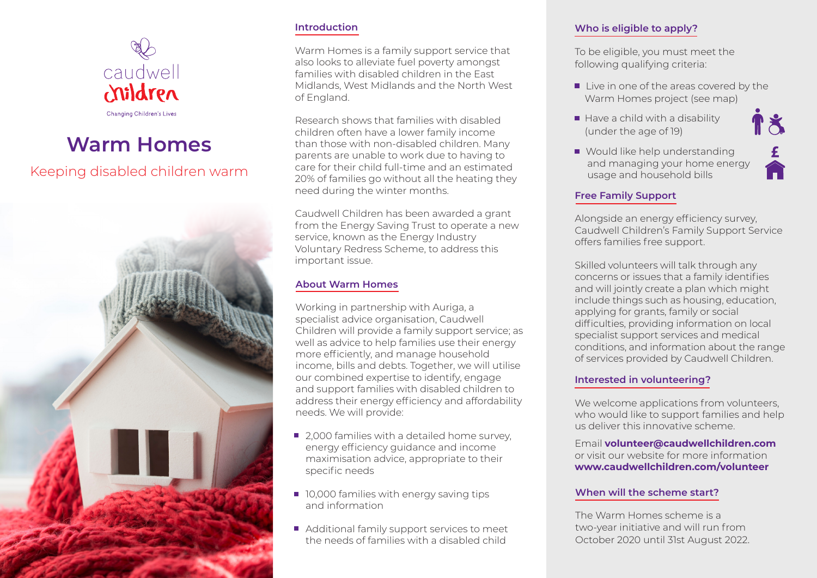

## **Warm Homes**

### Keeping disabled children warm



#### **Introduction**

Warm Homes is a family support service that also looks to alleviate fuel poverty amongst families with disabled children in the East Midlands, West Midlands and the North West of England.

Research shows that families with disabled children often have a lower family income than those with non-disabled children. Many parents are unable to work due to having to care for their child full-time and an estimated 20% of families go without all the heating they need during the winter months.

Caudwell Children has been awarded a grant from the Energy Saving Trust to operate a new service, known as the Energy Industry Voluntary Redress Scheme, to address this important issue.

#### **About Warm Homes**

Working in partnership with Auriga, a specialist advice organisation, Caudwell Children will provide a family support service; as well as advice to help families use their energy more efficiently, and manage household income, bills and debts. Together, we will utilise our combined expertise to identify, engage and support families with disabled children to address their energy efficiency and affordability needs. We will provide:

- 2,000 families with a detailed home survey, energy efficiency guidance and income maximisation advice, appropriate to their specific needs
- **10,000 families with energy saving tips** and information
- Additional family support services to meet the needs of families with a disabled child

#### **Who is eligible to apply?**

To be eligible, you must meet the following qualifying criteria:

- Live in one of the areas covered by the Warm Homes project (see map)
- Have a child with a disability (under the age of 19)
- Would like help understanding and managing your home energy usage and household bills

#### **Free Family Support**

Alongside an energy efficiency survey, Caudwell Children's Family Support Service offers families free support.

Skilled volunteers will talk through any concerns or issues that a family identifies and will jointly create a plan which might include things such as housing, education, applying for grants, family or social difficulties, providing information on local specialist support services and medical conditions, and information about the range of services provided by Caudwell Children.

#### **Interested in volunteering?**

We welcome applications from volunteers, who would like to support families and help us deliver this innovative scheme.

Email **volunteer@caudwellchildren.com** or visit our website for more information **www.caudwellchildren.com/volunteer**

#### **When will the scheme start?**

The Warm Homes scheme is a two-year initiative and will run from October 2020 until 31st August 2022.